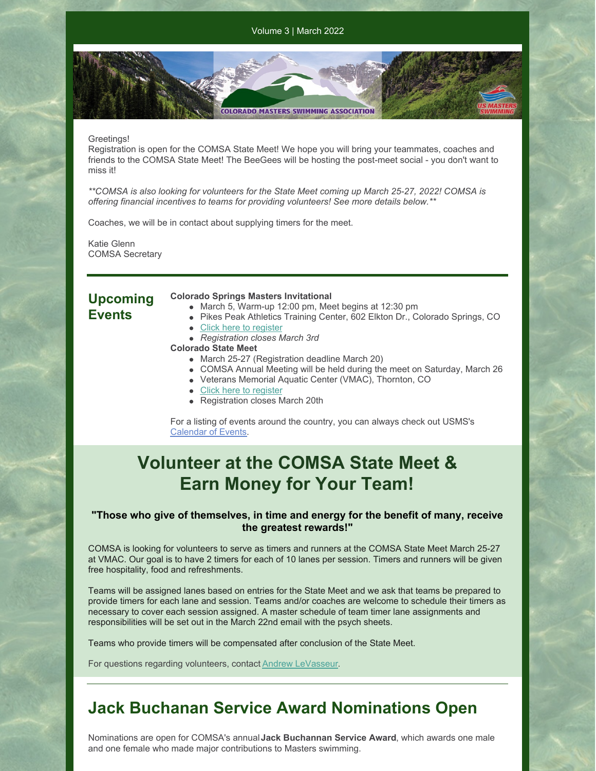Volume 3 | March 2022

**COLORADO MASTERS SWIMMING ASSOCIATION** 

### Greetings!

Registration is open for the COMSA State Meet! We hope you will bring your teammates, coaches and friends to the COMSA State Meet! The BeeGees will be hosting the post-meet social - you don't want to miss it!

*\*\*COMSA is also looking for volunteers for the State Meet coming up March 25-27, 2022! COMSA is offering financial incentives to teams for providing volunteers! See more details below.\*\**

Coaches, we will be in contact about supplying timers for the meet.

Katie Glenn COMSA Secretary

### **Upcoming Events**

#### **Colorado Springs Masters Invitational**

- March 5, Warm-up 12:00 pm, Meet begins at 12:30 pm
- Pikes Peak Athletics Training Center, 602 Elkton Dr., Colorado Springs, CO
- Click here to [register](https://www.clubassistant.com/club/meet_information.cfm?c=2500&smid=14330&_ga=2.104179076.544869472.1643856588-163166262.1643856588)
- *Registration closes March 3rd*
- **Colorado State Meet**
	- March 25-27 (Registration deadline March 20)
	- COMSA Annual Meeting will be held during the meet on Saturday, March 26
	- Veterans Memorial Aquatic Center (VMAC), Thornton, CO
	- Click here to [register](https://www.clubassistant.com/club/meet_information.cfm?c=1279&smid=14352&_ga=2.101109125.544869472.1643856588-163166262.1643856588)
	- Registration closes March 20th

For a listing of events around the country, you can always check out USMS's [Calendar](https://www.usms.org/events) of Events.

## **Volunteer at the COMSA State Meet & Earn Money for Your Team!**

### **"Those who give of themselves, in time and energy for the benefit of many, receive the greatest rewards!"**

COMSA is looking for volunteers to serve as timers and runners at the COMSA State Meet March 25-27 at VMAC. Our goal is to have 2 timers for each of 10 lanes per session. Timers and runners will be given free hospitality, food and refreshments.

Teams will be assigned lanes based on entries for the State Meet and we ask that teams be prepared to provide timers for each lane and session. Teams and/or coaches are welcome to schedule their timers as necessary to cover each session assigned. A master schedule of team timer lane assignments and responsibilities will be set out in the March 22nd email with the psych sheets.

Teams who provide timers will be compensated after conclusion of the State Meet.

For questions regarding volunteers, contact **Andrew [LeVasseur](mailto:swimmin4fun@msn.com)**.

### **Jack Buchanan Service Award Nominations Open**

Nominations are open for COMSA's annual**Jack Buchannan Service Award**, which awards one male and one female who made major contributions to Masters swimming.